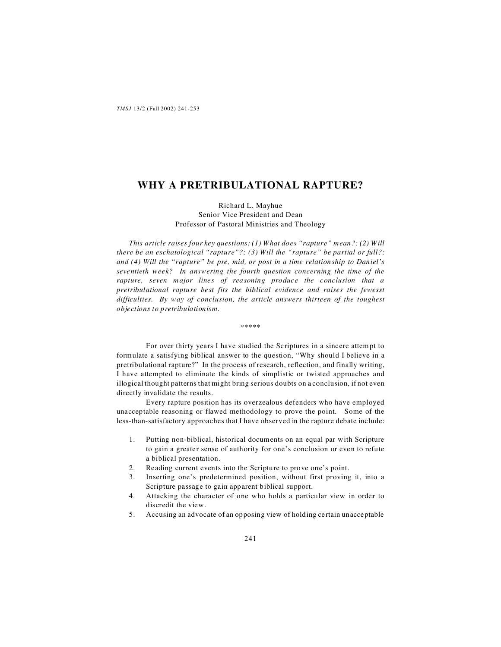# **WHY A PRETRIBULATIONAL RAPTURE?**

Richard L. Mayhue Senior Vice President and Dean Professor of Pastoral Ministries and Theology

*This article raises four key questions: (1) What does "rapture" mean?; (2) Will there be an eschatological "rapture"?; (3) Will the "rapture" be partial or full?; and (4) Will the "rapture" be pre, mid, or post in a time relationship to Daniel's seventieth week? In answering the fourth question concerning the time of the rapture, seven major lines of reasoning produce the conclusion that a pretribulational rapture best fits the biblical evidence and raises the fewesst difficulties. By way of conclusion, the article answers thirteen of the toughest objections to pretribulationism.*

\*\*\*\*\*

For over thirty years I have studied the Scriptures in a sincere attempt to formulate a satisfying biblical answer to the question, "Why should I believe in a pretribulational rapture?" In the process of research, reflection, and finally writing, I have attempted to eliminate the kinds of simplistic or twisted approaches and illogical thought patterns that might bring serious doubts on a conclusion, if not even directly invalidate the results.

Every rapture position has its overzealous defenders who have employed unacceptable reasoning or flawed methodology to prove the point. Some of the less-than-satisfactory approaches that I have observed in the rapture debate include:

- 1. Putting non-biblical, historical documents on an equal par with Scripture to gain a greater sense of authority for one's conclusion or even to refute a biblical presentation.
- 2. Reading current events into the Scripture to prove one's point.
- 3. Inserting one's predetermined position, without first proving it, into a Scripture passage to gain apparent biblical support.
- 4. Attacking the character of one who holds a particular view in order to discredit the view.
- 5. Accusing an advocate of an opposing view of holding certain unacceptable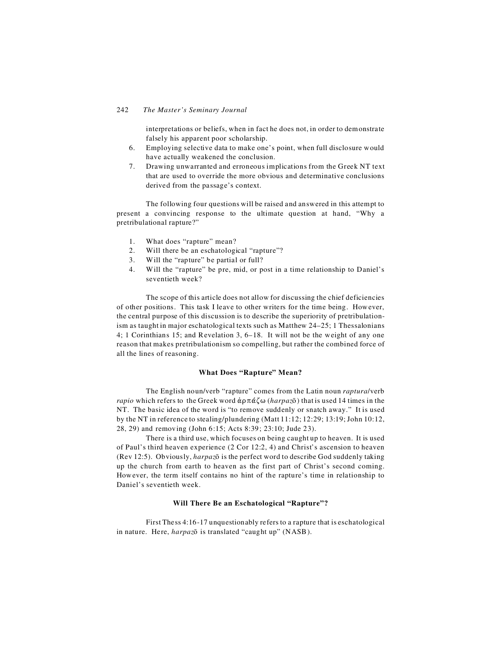interpretations or beliefs, when in fact he does not, in order to demonstrate falsely his apparent poor scholarship.

- 6. Employing selective data to make one's point, when full disclosure would have actually weakened the conclusion.
- 7. Drawing unwarranted and erroneous implications from the Greek NT text that are used to override the more obvious and determinative conclusions derived from the passage's context.

The following four questions will be raised and answered in this attempt to present a convincing response to the ultimate question at hand, "Why a pretribulational rapture?"

- 1. What does "rapture" mean?
- 2. Will there be an eschatological "rapture"?
- 3. Will the "rapture" be partial or full?
- 4. Will the "rapture" be pre, mid, or post in a time relationship to Daniel's seventieth week?

The scope of this article does not allow for discussing the chief deficiencies of other positions. This task I leave to other writers for the time being. However, the central purpose of this discussion is to describe the superiority of pretribulationism as taught in major eschatological texts such as Matthew 24–25; 1 Thessalonians 4; 1 Corinthians 15; and Revelation 3, 6–18. It will not be the weight of any one reason that makes pretribulationism so compelling, but rather the combined force of all the lines of reasoning.

### **What Does "Rapture" Mean?**

The English noun/verb "rapture" comes from the Latin noun *raptura*/verb *rapio* which refers to the Greek word  $\dot{\alpha}$   $\rho \pi \dot{\alpha} \zeta \omega$  (*harpaz* $\bar{\sigma}$ ) that is used 14 times in the NT. The basic idea of the word is "to remove suddenly or snatch away." It is used by the NT in reference to stealing/plundering (Matt 11:12; 12:29; 13:19; John 10:12, 28, 29) and removing (John 6:15; Acts 8:39; 23:10; Jude 23).

There is a third use, which focuses on being caught up to heaven. It is used of Paul's third heaven experience (2 Cor 12:2, 4) and Christ's ascension to heaven (Rev 12:5). Obviously, *harpazÇ* is the perfect word to describe God suddenly taking up the church from earth to heaven as the first part of Christ's second coming. However, the term itself contains no hint of the rapture's time in relationship to Daniel's seventieth week.

# **Will There Be an Eschatological "Rapture"?**

First Thess 4:16-17 unquestionably refers to a rapture that is eschatological in nature. Here, *harpaz*<sup> $\bar{o}$ </sup> is translated "caught up" (NASB).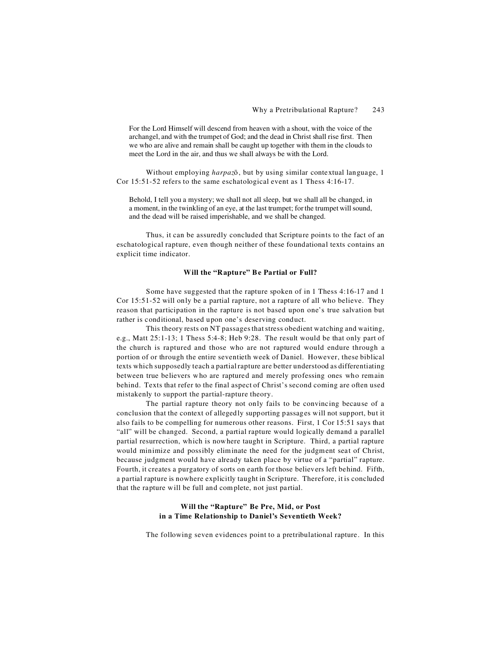For the Lord Himself will descend from heaven with a shout, with the voice of the archangel, and with the trumpet of God; and the dead in Christ shall rise first. Then we who are alive and remain shall be caught up together with them in the clouds to meet the Lord in the air, and thus we shall always be with the Lord.

Without employing *harpaz*<sup> $\bar{o}$ </sup>, but by using similar contextual language, 1 Cor 15:51-52 refers to the same eschatological event as 1 Thess 4:16-17.

Behold, I tell you a mystery; we shall not all sleep, but we shall all be changed, in a moment, in the twinkling of an eye, at the last trumpet; for the trumpet will sound, and the dead will be raised imperishable, and we shall be changed.

Thus, it can be assuredly concluded that Scripture points to the fact of an eschatological rapture, even though neither of these foundational texts contains an explicit time indicator.

### **Will the "Rapture" Be Partial or Full?**

Some have suggested that the rapture spoken of in 1 Thess 4:16-17 and 1 Cor 15:51-52 will only be a partial rapture, not a rapture of all who believe. They reason that participation in the rapture is not based upon one's true salvation but rather is conditional, based upon one's deserving conduct.

This theory rests on NT passages that stress obedient watching and waiting, e.g., Matt 25:1-13; 1 Thess 5:4-8; Heb 9:28. The result would be that only part of the church is raptured and those who are not raptured would endure through a portion of or through the entire seventieth week of Daniel. However, these biblical texts which supposedly teach a partial rapture are better understood as differentiating between true believers who are raptured and merely professing ones who remain behind. Texts that refer to the final aspect of Christ's second coming are often used mistakenly to support the partial-rapture theory.

The partial rapture theory not only fails to be convincing because of a conclusion that the context of allegedly supporting passages will not support, but it also fails to be compelling for numerous other reasons. First, 1 Cor 15:51 says that "all" will be changed. Second, a partial rapture would logically demand a parallel partial resurrection, which is nowhere taught in Scripture. Third, a partial rapture would minimize and possibly eliminate the need for the judgment seat of Christ, because judgment would have already taken place by virtue of a "partial" rapture. Fourth, it creates a purgatory of sorts on earth for those believers left behind. Fifth, a partial rapture is nowhere explicitly taught in Scripture. Therefore, it is concluded that the rapture will be full and complete, not just partial.

# **Will the "Rapture" Be Pre, Mid, or Post in a Time Relationship to Daniel's Seventieth Week?**

The following seven evidences point to a pretribulational rapture. In this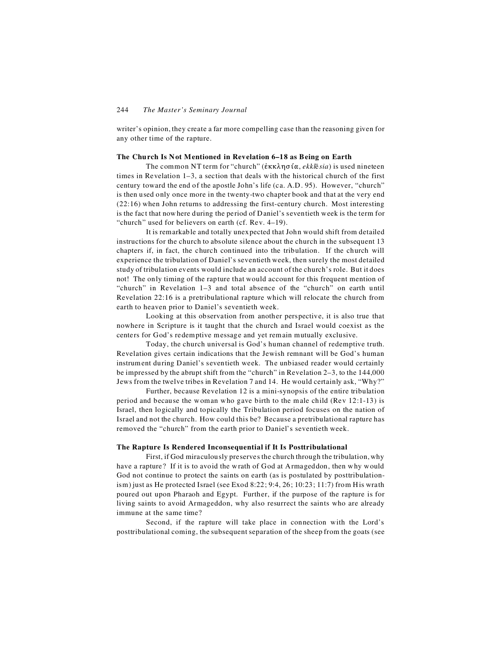writer's opinion, they create a far more compelling case than the reasoning given for any other time of the rapture.

### **The Church Is Not Mentioned in Revelation 6–18 as Being on Earth**

The common NT term for "church" ( $\dot{\epsilon}$ KK $\lambda$ n $\sigma$ i $\alpha$ , *ekkl* $\bar{\epsilon}$ *sia*) is used nineteen times in Revelation 1–3, a section that deals with the historical church of the first century toward the end of the apostle John's life (ca. A.D. 95). However, "church" is then used only once more in the twenty-two chapter book and that at the very end (22:16) when John returns to addressing the first-century church. Most interesting is the fact that nowhere during the period of Daniel's seventieth week is the term for "church" used for believers on earth (cf. Rev. 4–19).

It is remarkable and totally unexpected that John would shift from detailed instructions for the church to absolute silence about the church in the subsequent 13 chapters if, in fact, the church continued into the tribulation. If the church will experience the tribulation of Daniel's seventieth week, then surely the most detailed study of tribulation events would include an account of the church's role. But it does not! The only timing of the rapture that would account for this frequent mention of "church" in Revelation 1–3 and total absence of the "church" on earth until Revelation 22:16 is a pretribulational rapture which will relocate the church from earth to heaven prior to Daniel's seventieth week.

Looking at this observation from another perspective, it is also true that nowhere in Scripture is it taught that the church and Israel would coexist as the centers for God's redemptive message and yet remain mutually exclusive.

Today, the church universal is God's human channel of redemptive truth. Revelation gives certain indications that the Jewish remnant will be God's human instrument during Daniel's seventieth week. The unbiased reader would certainly be impressed by the abrupt shift from the "church" in Revelation 2–3, to the 144,000 Jews from the twelve tribes in Revelation 7 and 14. He would certainly ask, "Why?"

Further, because Revelation 12 is a mini-synopsis of the entire tribulation period and because the woman who gave birth to the male child (Rev 12:1-13) is Israel, then logically and topically the Tribulation period focuses on the nation of Israel and not the church. How could this be? Because a pretribulational rapture has removed the "church" from the earth prior to Daniel's seventieth week.

#### **The Rapture Is Rendered Inconsequential if It Is Posttribulational**

First, if God miraculously preserves the church through the tribulation, why have a rapture? If it is to avoid the wrath of God at Armageddon, then why would God not continue to protect the saints on earth (as is postulated by posttribulationism) just as He protected Israel (see Exod 8:22; 9:4, 26; 10:23; 11:7) from His wrath poured out upon Pharaoh and Egypt. Further, if the purpose of the rapture is for living saints to avoid Armageddon, why also resurrect the saints who are already immune at the same time?

Second, if the rapture will take place in connection with the Lord's posttribulational coming, the subsequent separation of the sheep from the goats (see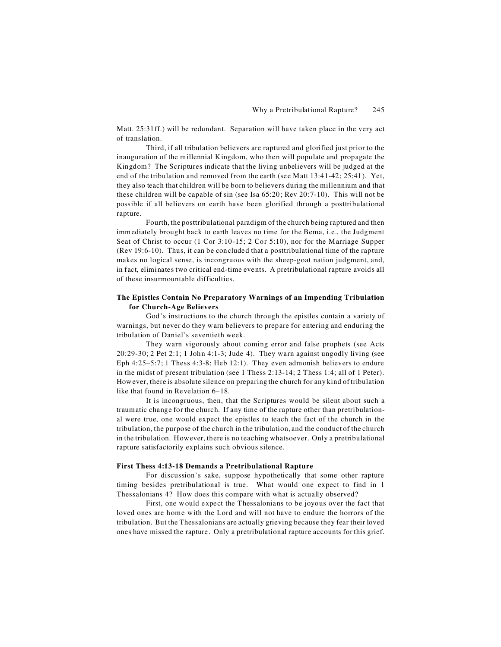Matt. 25:31ff.) will be redundant. Separation will have taken place in the very act of translation.

Third, if all tribulation believers are raptured and glorified just prior to the inauguration of the millennial Kingdom, who then will populate and propagate the Kingdom? The Scriptures indicate that the living unbelievers will be judged at the end of the tribulation and removed from the earth (see Matt 13:41-42; 25:41). Yet, they also teach that children will be born to believers during the millennium and that these children will be capable of sin (see Isa 65:20; Rev 20:7-10). This will not be possible if all believers on earth have been glorified through a posttribulational rapture.

Fourth, the posttribulational paradigm of the church being raptured and then immediately brought back to earth leaves no time for the Bema, i.e., the Judgment Seat of Christ to occur (1 Cor 3:10-15; 2 Cor 5:10), nor for the Marriage Supper (Rev 19:6-10). Thus, it can be concluded that a posttribulational time of the rapture makes no logical sense, is incongruous with the sheep-goat nation judgment, and, in fact, eliminates two critical end-time events. A pretribulational rapture avoids all of these insurmountable difficulties.

# **The Epistles Contain No Preparatory Warnings of an Impending Tribulation for Church-Age Believers**

God's instructions to the church through the epistles contain a variety of warnings, but never do they warn believers to prepare for entering and enduring the tribulation of Daniel's seventieth week.

They warn vigorously about coming error and false prophets (see Acts 20:29-30; 2 Pet 2:1; 1 John 4:1-3; Jude 4). They warn against ungodly living (see Eph 4:25–5:7; 1 Thess 4:3-8; Heb 12:1). They even admonish believers to endure in the midst of present tribulation (see 1 Thess 2:13-14; 2 Thess 1:4; all of 1 Peter). However, there is absolute silence on preparing the church for any kind of tribulation like that found in Revelation 6–18.

It is incongruous, then, that the Scriptures would be silent about such a traumatic change for the church. If any time of the rapture other than pretribulational were true, one would expect the epistles to teach the fact of the church in the tribulation, the purpose of the church in the tribulation, and the conduct of the church in the tribulation. However, there is no teaching whatsoever. Only a pretribulational rapture satisfactorily explains such obvious silence.

#### **First Thess 4:13-18 Demands a Pretribulational Rapture**

For discussion's sake, suppose hypothetically that some other rapture timing besides pretribulational is true. What would one expect to find in 1 Thessalonians 4? How does this compare with what is actually observed?

First, one would expect the Thessalonians to be joyous over the fact that loved ones are home with the Lord and will not have to endure the horrors of the tribulation. But the Thessalonians are actually grieving because they fear their loved ones have missed the rapture. Only a pretribulational rapture accounts for this grief.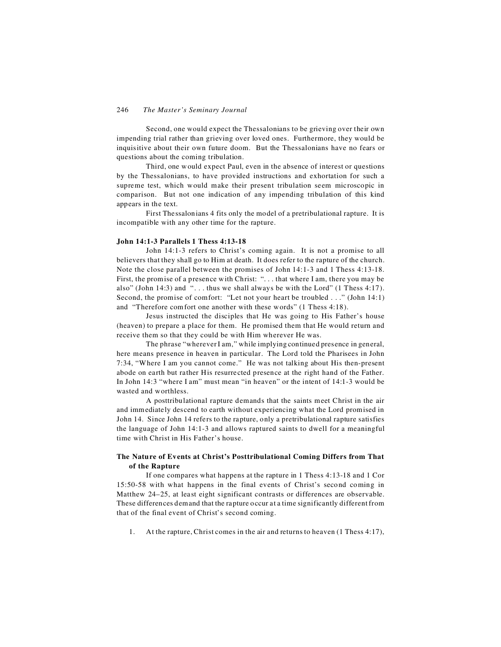Second, one would expect the Thessalonians to be grieving over their own impending trial rather than grieving over loved ones. Furthermore, they would be inquisitive about their own future doom. But the Thessalonians have no fears or questions about the coming tribulation.

Third, one would expect Paul, even in the absence of interest or questions by the Thessalonians, to have provided instructions and exhortation for such a supreme test, which would make their present tribulation seem microscopic in comparison. But not one indication of any impending tribulation of this kind appears in the text.

First Thessalonians 4 fits only the model of a pretribulational rapture. It is incompatible with any other time for the rapture.

### **John 14:1-3 Parallels 1 Thess 4:13-18**

John 14:1-3 refers to Christ's coming again. It is not a promise to all believers that they shall go to Him at death. It does refer to the rapture of the church. Note the close parallel between the promises of John 14:1-3 and 1 Thess 4:13-18. First, the promise of a presence with Christ: "... that where I am, there you may be also" (John 14:3) and " $\dots$  thus we shall always be with the Lord" (1 Thess 4:17). Second, the promise of comfort: "Let not your heart be troubled . . ." (John 14:1) and "Therefore comfort one another with these words" (1 Thess 4:18).

Jesus instructed the disciples that He was going to His Father's house (heaven) to prepare a place for them. He promised them that He would return and receive them so that they could be with Him wherever He was.

The phrase "wherever I am," while implying continued presence in general, here means presence in heaven in particular. The Lord told the Pharisees in John 7:34, "Where I am you cannot come." He was not talking about His then-present abode on earth but rather His resurrected presence at the right hand of the Father. In John 14:3 "where I am" must mean "in heaven" or the intent of 14:1-3 would be wasted and worthless.

A posttribulational rapture demands that the saints meet Christ in the air and immediately descend to earth without experiencing what the Lord promised in John 14. Since John 14 refers to the rapture, only a pretribulational rapture satisfies the language of John 14:1-3 and allows raptured saints to dwell for a meaningful time with Christ in His Father's house.

### **The Nature of Events at Christ's Posttribulational Coming Differs from That of the Rapture**

If one compares what happens at the rapture in 1 Thess 4:13-18 and 1 Cor 15:50-58 with what happens in the final events of Christ's second coming in Matthew 24–25, at least eight significant contrasts or differences are observable. These differences demand that the rapture occur at a time significantly different from that of the final event of Christ's second coming.

1. At the rapture, Christ comes in the air and returns to heaven (1 Thess 4:17),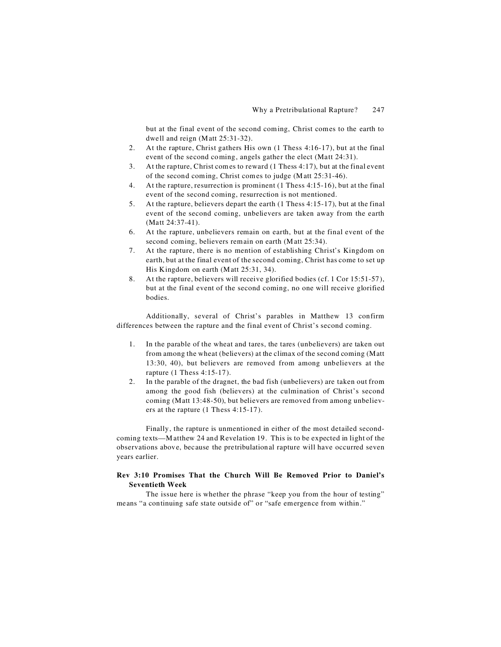but at the final event of the second coming, Christ comes to the earth to dwell and reign (Matt 25:31-32).

- 2. At the rapture, Christ gathers His own (1 Thess 4:16-17), but at the final event of the second coming, angels gather the elect (Matt 24:31).
- 3. At the rapture, Christ comes to reward (1 Thess 4:17), but at the final event of the second coming, Christ comes to judge (Matt 25:31-46).
- 4. At the rapture, resurrection is prominent (1 Thess 4:15-16), but at the final event of the second coming, resurrection is not mentioned.
- 5. At the rapture, believers depart the earth (1 Thess 4:15-17), but at the final event of the second coming, unbelievers are taken away from the earth (Matt 24:37-41).
- 6. At the rapture, unbelievers remain on earth, but at the final event of the second coming, believers remain on earth (Matt 25:34).
- 7. At the rapture, there is no mention of establishing Christ's Kingdom on earth, but at the final event of the second coming, Christ has come to set up His Kingdom on earth (Matt 25:31, 34).
- 8. At the rapture, believers will receive glorified bodies (cf. 1 Cor 15:51-57), but at the final event of the second coming, no one will receive glorified bodies.

Additionally, several of Christ's parables in Matthew 13 confirm differences between the rapture and the final event of Christ's second coming.

- 1. In the parable of the wheat and tares, the tares (unbelievers) are taken out from among the wheat (believers) at the climax of the second coming (Matt 13:30, 40), but believers are removed from among unbelievers at the rapture (1 Thess 4:15-17).
- 2. In the parable of the dragnet, the bad fish (unbelievers) are taken out from among the good fish (believers) at the culmination of Christ's second coming (Matt 13:48-50), but believers are removed from among unbelievers at the rapture (1 Thess 4:15-17).

Finally, the rapture is unmentioned in either of the most detailed secondcoming texts—Matthew 24 and Revelation 19. This is to be expected in light of the observations above, because the pretribulational rapture will have occurred seven years earlier.

# **Rev 3:10 Promises That the Church Will Be Removed Prior to Daniel's Seventieth Week**

The issue here is whether the phrase "keep you from the hour of testing" means "a continuing safe state outside of" or "safe emergence from within."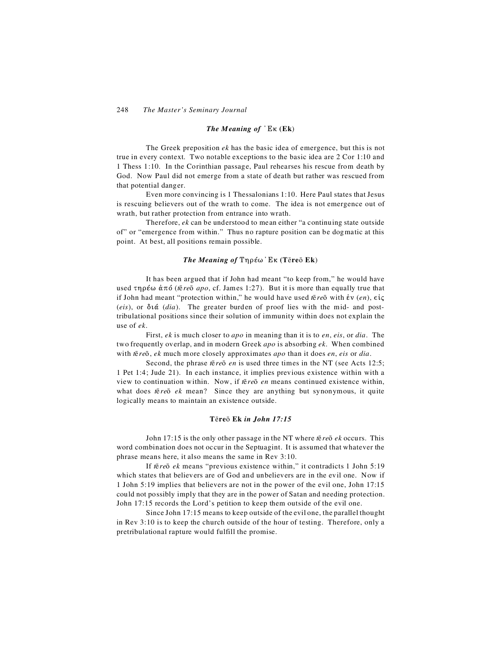#### *The Meaning of*  $^{\prime}$  E<sub>K</sub> (E<sub>k</sub>)

The Greek preposition *ek* has the basic idea of emergence, but this is not true in every context. Two notable exceptions to the basic idea are 2 Cor 1:10 and 1 Thess 1:10. In the Corinthian passage, Paul rehearses his rescue from death by God. Now Paul did not emerge from a state of death but rather was rescued from that potential danger.

Even more convincing is 1 Thessalonians 1:10. Here Paul states that Jesus is rescuing believers out of the wrath to come. The idea is not emergence out of wrath, but rather protection from entrance into wrath.

Therefore, *ek* can be understood to mean either "a continuing state outside of" or "emergence from within." Thus no rapture position can be dogmatic at this point. At best, all positions remain possible.

### *The Meaning of Tηρέω Eκ* (Tereo Ek)

It has been argued that if John had meant "to keep from," he would have used τηρέω άπό (*t*ēreō *apo*, cf. James 1:27). But it is more than equally true that if John had meant "protection within," he would have used  $\bar{\epsilon}$  *re* $\bar{\epsilon}$  with  $\dot{\epsilon}v$  (*en*),  $\epsilon i\zeta$  $(eis)$ , or  $\delta \alpha$  (*dia*). The greater burden of proof lies with the mid- and posttribulational positions since their solution of immunity within does not explain the use of *ek*.

First, *ek* is much closer to *apo* in meaning than it is to *en*, *eis*, or *dia*. The two frequently overlap, and in modern Greek *apo* is absorbing *ek*. When combined with  $\bar{c}$  *re* $\bar{o}$ , *ek* much more closely approximates *apo* than it does *en*, *eis* or *dia*.

Second, the phrase  $\bar{r}$  *en* is used three times in the NT (see Acts 12:5; 1 Pet 1:4; Jude 21). In each instance, it implies previous existence within with a view to continuation within. Now, if  $\bar{\varepsilon}$  *re* $\bar{\varepsilon}$  *en* means continued existence within, what does *f*  $\bar{c}$  *re*<sup> $\bar{c}$ </sup> *ek* mean? Since they are anything but synonymous, it quite logically means to maintain an existence outside.

#### **Tre**Ç **Ek** *in John 17:15*

John 17:15 is the only other passage in the NT where *t ek* occurs. This word combination does not occur in the Septuagint. It is assumed that whatever the phrase means here, it also means the same in Rev 3:10.

If *t* $\bar{e}$  *re* $\bar{o}$  *ek* means "previous existence within," it contradicts 1 John 5:19 which states that believers are of God and unbelievers are in the evil one. Now if 1 John 5:19 implies that believers are not in the power of the evil one, John 17:15 could not possibly imply that they are in the power of Satan and needing protection. John 17:15 records the Lord's petition to keep them outside of the evil one.

Since John 17:15 means to keep outside of the evil one, the parallel thought in Rev 3:10 is to keep the church outside of the hour of testing. Therefore, only a pretribulational rapture would fulfill the promise.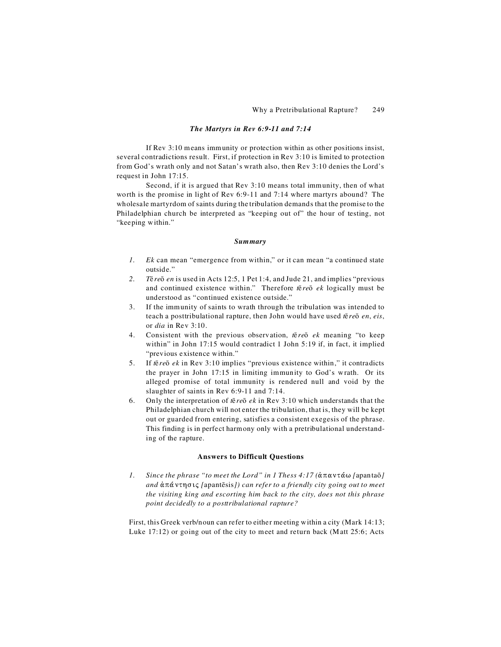### *The Martyrs in Rev 6:9-11 and 7:14*

If Rev 3:10 means immunity or protection within as other positions insist, several contradictions result. First, if protection in Rev 3:10 is limited to protection from God's wrath only and not Satan's wrath also, then Rev 3:10 denies the Lord's request in John 17:15.

Second, if it is argued that Rev 3:10 means total immunity, then of what worth is the promise in light of Rev 6:9-11 and 7:14 where martyrs abound? The wholesale martyrdom of saints during the tribulation demands that the promise to the Philadelphian church be interpreted as "keeping out of" the hour of testing, not "keeping within."

### *Summary*

- *1. Ek* can mean "emergence from within," or it can mean "a continued state outside."
- *2. T reÇ en* is used in Acts 12:5, 1 Pet 1:4, and Jude 21, and implies "previous and continued existence within." Therefore  $\vec{r}$  *re* $\vec{o}$  *ek* logically must be understood as "continued existence outside."
- 3. If the immunity of saints to wrath through the tribulation was intended to teach a posttribulational rapture, then John would have used  $t\bar{e}re\bar{o}en, eis$ , or *dia* in Rev 3:10.
- 4. Consistent with the previous observation,  $\bar{\varepsilon}$  *re* $\bar{\varepsilon}$  *ek* meaning "to keep within" in John 17:15 would contradict 1 John 5:19 if, in fact, it implied "previous existence within."
- 5. If  $\bar{r}$  *ek* in Rev 3:10 implies "previous existence within," it contradicts the prayer in John 17:15 in limiting immunity to God's wrath. Or its alleged promise of total immunity is rendered null and void by the slaughter of saints in Rev 6:9-11 and 7:14.
- 6. Only the interpretation of  $\bar{\varepsilon}$  *re* $\bar{\varepsilon}$  *ek* in Rev 3:10 which understands that the Philadelphian church will not enter the tribulation, that is, they will be kept out or guarded from entering, satisfies a consistent exegesis of the phrase. This finding is in perfect harmony only with a pretribulational understanding of the rapture.

### **Answers to Difficult Questions**

*1. Since the phrase "to meet the Lord" in 1 Thess 4:17 (απαντάω [apantaõ] and*  $\alpha$ πάντησις [apantēsis]) can refer to a friendly city going out to meet *the visiting king and escorting him back to the city, does not this phrase point decidedly to a posttribulational rapture?*

First, this Greek verb/noun can refer to either meeting within a city (Mark 14:13; Luke 17:12) or going out of the city to meet and return back (Matt 25:6; Acts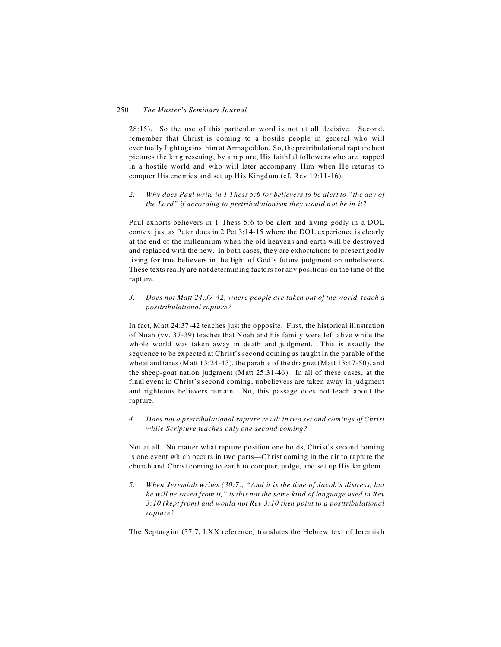28:15). So the use of this particular word is not at all decisive. Second, remember that Christ is coming to a hostile people in general who will eventually fight against him at Armageddon. So, the pretribulational rapture best pictures the king rescuing, by a rapture, His faithful followers who are trapped in a hostile world and who will later accompany Him when He returns to conquer His enemies and set up His Kingdom (cf. Rev 19:11-16).

*2. Why does Paul write in 1 Thess 5:6 for believers to be alert to "the day of the Lord" if according to pretribulationism they would not be in it?*

Paul exhorts believers in 1 Thess 5:6 to be alert and living godly in a DOL context just as Peter does in 2 Pet 3:14-15 where the DOL experience is clearly at the end of the millennium when the old heavens and earth will be destroyed and replaced with the new. In both cases, they are exhortations to present godly living for true believers in the light of God's future judgment on unbelievers. These texts really are not determining factors for any positions on the time of the rapture.

*3. Does not Matt 24:37-42, where people are taken out of the world, teach a posttribulational rapture?*

In fact, Matt 24:37-42 teaches just the opposite. First, the historical illustration of Noah (vv. 37-39) teaches that Noah and his family were left alive while the whole world was taken away in death and judgment. This is exactly the sequence to be expected at Christ's second coming as taught in the parable of the wheat and tares (Matt 13:24-43), the parable of the dragnet (Matt 13:47-50), and the sheep-goat nation judgment (Matt 25:31-46). In all of these cases, at the final event in Christ's second coming, unbelievers are taken away in judgment and righteous believers remain. No, this passage does not teach about the rapture.

*4. Does not a pretribulational rapture result in two second comings of Christ while Scripture teaches only one second coming?*

Not at all. No matter what rapture position one holds, Christ's second coming is one event which occurs in two parts—Christ coming in the air to rapture the church and Christ coming to earth to conquer, judge, and set up His kingdom.

*5. When Jeremiah writes (30:7), "And it is the time of Jacob's distress, but he will be saved from it," is this not the same kind of language used in Rev 3:10 (kept from) and would not Rev 3:10 then point to a posttribulational rapture?*

The Septuagint (37:7, LXX reference) translates the Hebrew text of Jeremiah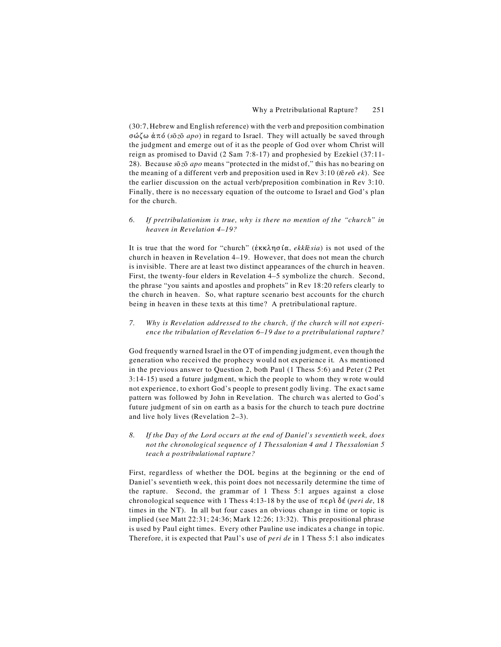(30:7, Hebrew and English reference) with the verb and preposition combination Ff.T B` (*sÇ zÇ apo*) in regard to Israel. They will actually be saved through the judgment and emerge out of it as the people of God over whom Christ will reign as promised to David (2 Sam 7:8-17) and prophesied by Ezekiel (37:11- 28). Because *sÇ zÇ apo* means "protected in the midst of," this has no bearing on the meaning of a different verb and preposition used in Rev 3:10 ( $\bar{E}$ *re* $\bar{o}$ *ek*). See the earlier discussion on the actual verb/preposition combination in Rev 3:10. Finally, there is no necessary equation of the outcome to Israel and God's plan for the church.

*6. If pretribulationism is true, why is there no mention of the "church" in heaven in Revelation 4–19?*

It is true that the word for "church" ( $\&$ KK $\lambda$ ησία, *ekkl* $\&$ *sia*) is not used of the church in heaven in Revelation 4*–*19. However, that does not mean the church is invisible. There are at least two distinct appearances of the church in heaven. First, the twenty-four elders in Revelation 4*–*5 symbolize the church. Second, the phrase "you saints and apostles and prophets" in Rev 18:20 refers clearly to the church in heaven. So, what rapture scenario best accounts for the church being in heaven in these texts at this time? A pretribulational rapture.

*7. Why is Revelation addressed to the church, if the church will not experience the tribulation of Revelation 6–19 due to a pretribulational rapture?*

God frequently warned Israel in the OT of impending judgment, even though the generation who received the prophecy would not experience it. As mentioned in the previous answer to Question 2, both Paul (1 Thess 5:6) and Peter (2 Pet 3:14-15) used a future judgment, which the people to whom they wrote would not experience, to exhort God's people to present godly living. The exact same pattern was followed by John in Revelation. The church was alerted to God's future judgment of sin on earth as a basis for the church to teach pure doctrine and live holy lives (Revelation 2*–*3).

*8. If the Day of the Lord occurs at the end of Daniel's seventieth week, does not the chronological sequence of 1 Thessalonian 4 and 1 Thessalonian 5 teach a postribulational rapture?*

First, regardless of whether the DOL begins at the beginning or the end of Daniel's seventieth week, this point does not necessarily determine the time of the rapture. Second, the grammar of 1 Thess 5:1 argues against a close chronological sequence with 1 Thess 4:13-18 by the use of  $\pi \epsilon \rho \hat{i} \delta \hat{\epsilon}$  (*peri de*, 18 times in the NT). In all but four cases an obvious change in time or topic is implied (see Matt 22:31; 24:36; Mark 12:26; 13:32). This prepositional phrase is used by Paul eight times. Every other Pauline use indicates a change in topic. Therefore, it is expected that Paul's use of *peri de* in 1 Thess 5:1 also indicates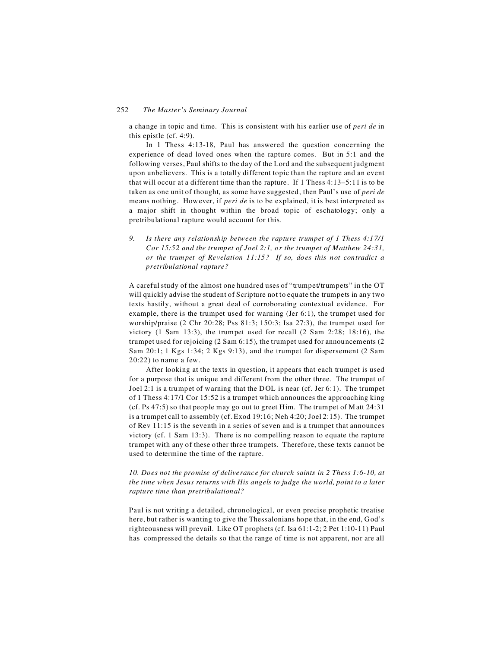a change in topic and time. This is consistent with his earlier use of *peri de* in this epistle (cf. 4:9).

In 1 Thess 4:13-18, Paul has answered the question concerning the experience of dead loved ones when the rapture comes. But in 5:1 and the following verses, Paul shifts to the day of the Lord and the subsequent judgment upon unbelievers. This is a totally different topic than the rapture and an event that will occur at a different time than the rapture. If 1 Thess 4:13–5:11 is to be taken as one unit of thought, as some have suggested, then Paul's use of *peri de* means nothing. However, if *peri de* is to be explained, it is best interpreted as a major shift in thought within the broad topic of eschatology; only a pretribulational rapture would account for this.

*9. Is there any relationship between the rapture trumpet of 1 Thess 4:17/1 Cor 15:52 and the trumpet of Joel 2:1, or the trumpet of Matthew 24:31, or the trumpet of Revelation 11:15? If so, does this not contradict a pretribulational rapture?*

A careful study of the almost one hundred uses of "trumpet/trumpets" in the OT will quickly advise the student of Scripture not to equate the trumpets in any two texts hastily, without a great deal of corroborating contextual evidence. For example, there is the trumpet used for warning (Jer 6:1), the trumpet used for worship/praise (2 Chr 20:28; Pss 81:3; 150:3; Isa 27:3), the trumpet used for victory (1 Sam 13:3), the trumpet used for recall (2 Sam 2:28; 18:16), the trumpet used for rejoicing (2 Sam 6:15), the trumpet used for announcements (2 Sam 20:1; 1 Kgs 1:34; 2 Kgs 9:13), and the trumpet for dispersement (2 Sam 20:22) to name a few.

After looking at the texts in question, it appears that each trumpet is used for a purpose that is unique and different from the other three. The trumpet of Joel 2:1 is a trumpet of warning that the DOL is near (cf. Jer 6:1). The trumpet of 1 Thess 4:17/1 Cor 15:52 is a trumpet which announces the approaching king (cf. Ps 47:5) so that people may go out to greet Him. The trumpet of Matt 24:31 is a trumpet call to assembly (cf. Exod 19:16; Neh 4:20; Joel 2:15). The trumpet of Rev 11:15 is the seventh in a series of seven and is a trumpet that announces victory (cf. 1 Sam 13:3). There is no compelling reason to equate the rapture trumpet with any of these other three trumpets. Therefore, these texts cannot be used to determine the time of the rapture.

*10. Does not the promise of deliverance for church saints in 2 Thess 1:6-10, at the time when Jesus returns with His angels to judge the world, point to a later rapture time than pretribulational?*

Paul is not writing a detailed, chronological, or even precise prophetic treatise here, but rather is wanting to give the Thessalonians hope that, in the end, God's righteousness will prevail. Like OT prophets (cf. Isa 61:1-2; 2 Pet 1:10-11) Paul has compressed the details so that the range of time is not apparent, nor are all